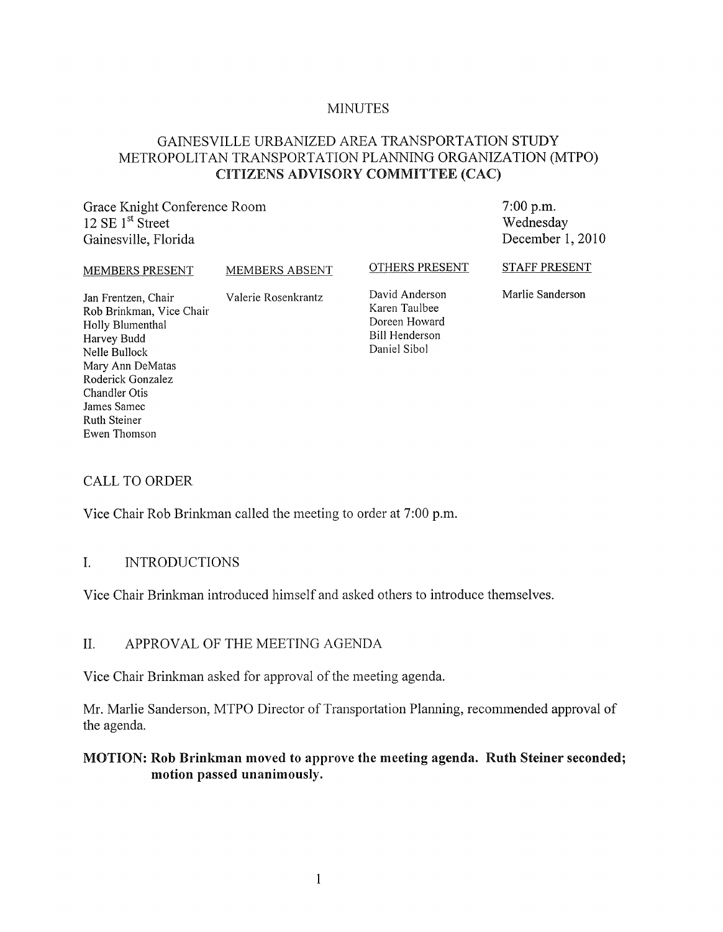#### MINUTES

# GAINESVILLE URBANIZED AREA TRANSPORTATION STUDY METROPOLITAN TRANSPORTATION PLANNING ORGANIZATION (MTPO) CITIZENS ADVISORY COMMITTEE (CAC)

Grace Knight Conference Room 12 SE  $1<sup>st</sup>$  Street Gainesville, Florida

7:00 p.m. Wednesday December 1, 2010

MEMBERS PRESENT MEMBERS ABSENT

OTHERS PRESENT

STAFF PRESENT

Jan Frentzen, Chair Valerie Rosenkrantz Rob Brinkman, Vice Chair Holly Blumenthal Harvey Budd Nelle Bullock Mary Ann DeMatas Roderick Gonzalez Chandler Otis James Samec Ruth Steiner Ewen Thomson

David Anderson Karen Taulbee Doreen Howard Bill Henderson Daniel Sibol

Marlie Sanderson

#### CALL TO ORDER

Vice Chair Rob Brinkman called the meeting to order at 7:00 p.m.

#### 1. INTRODUCTIONS

Vice Chair Brinkman introduced himself and asked others to introduce themselves.

#### II. APPROV AL OF THE MEETING AGENDA

Vice Chair Brinkman asked for approval of the meeting agenda.

Mr. Marlie Sanderson, MTPO Director of Transportation Planning, recommended approval of the agenda.

#### MOTION: Rob Brinkman moved to approve the meeting agenda. Ruth Steiner seconded; motion passed unanimously.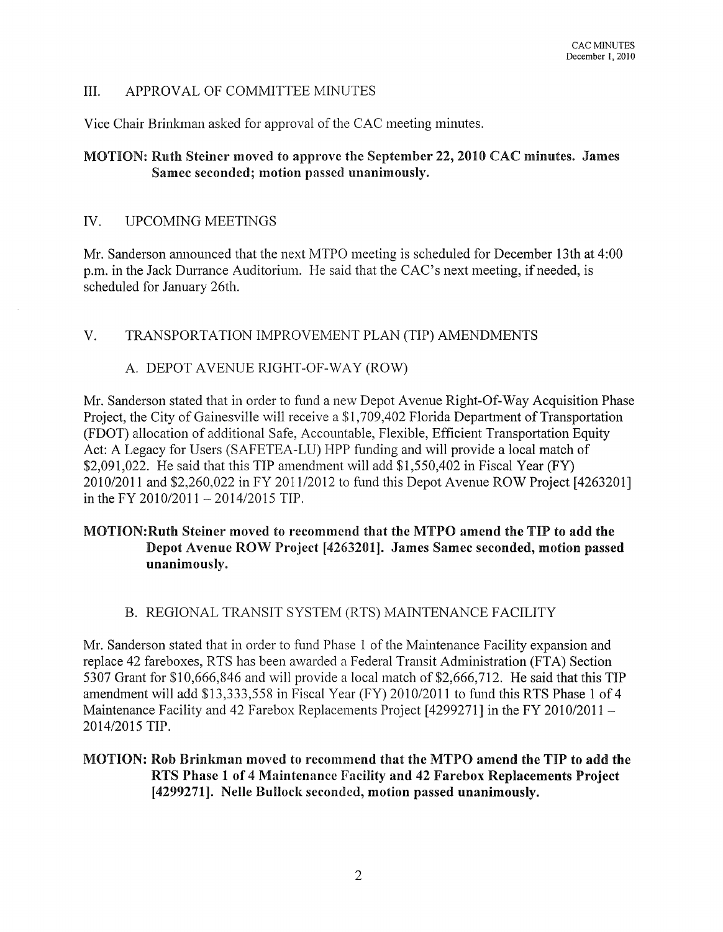# III. APPROV AL OF COMMITTEE MINUTES

Vice Chair Brinkman asked for approval of the CAC meeting minutes.

### MOTION: Ruth Steiner moved to approve the September 22,2010 CAC minutes. James Samec seconded; motion passed unanimously.

#### IV. UPCOMING MEETINGS

Mr. Sanderson announced that the next MTPO meeting is scheduled for December 13th at 4:00 p.m. in the Jack Durrance Auditorium. He said that the CAC's next meeting, if needed, is scheduled for January 26th.

V. TRANSPORTATION IMPROVEMENT PLAN (TIP) AMENDMENTS

### A. DEPOT AVENUE RIGHT-OF-WAY (ROW)

Mr. Sanderson stated that in order to fund a new Depot Avenue Right-Of-Way Acquisition Phase Project, the City of Gainesville will receive a \$1,709,402 Florida Department of Transportation (FDOT) allocation of additional Safe, Accountable, Flexible, Efficient Transportation Equity Act: A Legacy for Users (SAFETEA-LU) HPP funding and will provide a local match of \$2,091,022. He said that this TIP amendment will add \$1,550,402 in Fiscal Year (FY) 2010/2011 and \$2,260,022 in FY 2011/2012 to fund this Depot Avenue ROW Project [4263201] in the FY 2010/2011 - 2014/2015 TIP.

### MOTION:Ruth Steiner moved to recommend that the MTPO amend the TIP to add the Depot Avenue ROW Project [4263201]. James Samec seconded, motion passed unanimously.

# B. REGIONAL TRANSIT SYSTEM (RTS) MAINTENANCE FACILITY

Mr. Sanderson stated that in order to fund Phase 1 of the Maintenance Facility expansion and replace 42 fareboxes, RTS has been awarded a Federal Transit Administration (FTA) Section 5307 Grant for \$10,666,846 and will provide a local match of \$2,666,712. He said that this TIP amendment will add \$13,333,558 in Fiscal Year (FY) 2010/2011 to fund this RTS Phase 1 of 4 Maintenance Facility and 42 Farebox Replacements Project [4299271] in the FY 2010/2011 -2014/2015 TIP.

# MOTION: Rob Brinkman moved to recommend that the MTPO amend the TIP to add the RTS Phase 1 of 4 Maintenance Facility and 42 Farebox Replacements Project [4299271]. Nelle Bullock seconded, motion passed unanimously.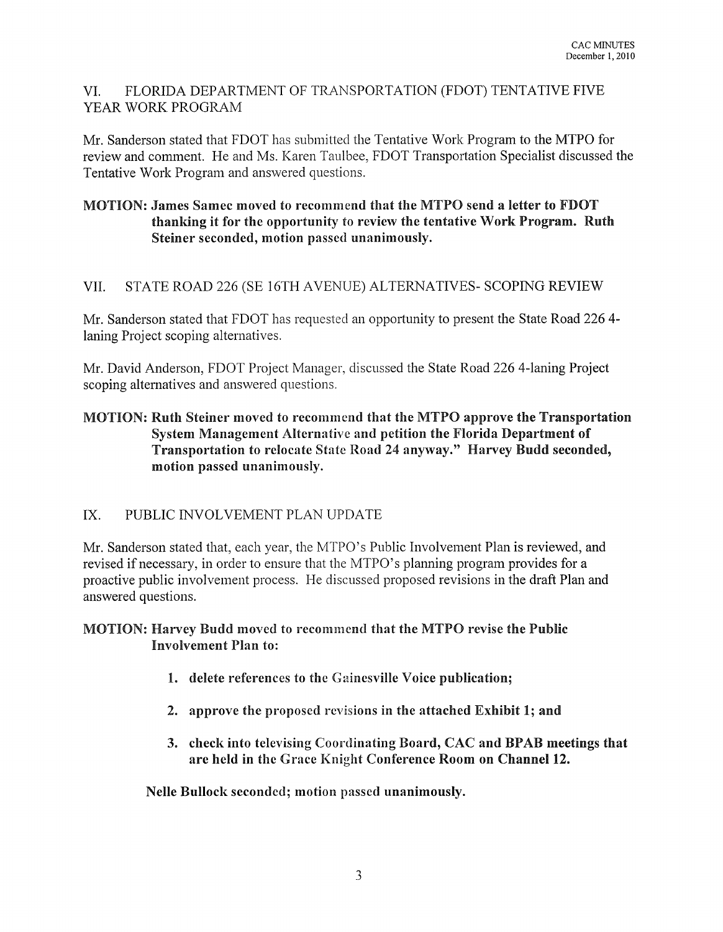# VI. FLORIDA DEPARTMENT OF TRANSPORTATION (FDOT) TENTATIVE FIVE YEAR WORK PROGRAM

Mr. Sanderson stated that FDOT has submitted the Tentative Work Program to the MTPO for review and comment. He and Ms. Karen Taulbee, FDOT Transportation Specialist discussed the Tentative Work Program and answered questions.

# MOTION: James Samec moved to recommend that the MTPO send a letter to FDOT thanking it for the opportunity to review the tentative Work Program. Ruth Steiner seconded, motion passed unanimously.

# VII. STATE ROAD 226 (SE 16TH AVENUE) AL TERNA TIVES- SCOPING REVIEW

Mr. Sanderson stated that FDOT has requested an opportunity to present the State Road 226 4 laning Project scoping alternatives.

Mr. David Anderson, FDOT Project Manager, discussed the State Road 226 4-laning Project scoping alternatives and answered questions.

# MOTION: Ruth Steiner moved to recommend that the MTPO approve the Transportation System Management Alternative and petition the Florida Department of Transportation to relocate State Road 24 anyway." Harvey Budd seconded, motion passed unanimously.

# IX. PUBLIC INVOLVEMENT PLAN UPDATE

Mr. Sanderson stated that, each year, the MTPO's Public Involvement Plan is reviewed, and revised if necessary, in order to ensure that the MTPO's planning program provides for a proactive public involvement process. He discussed proposed revisions in the draft Plan and answered questions.

# MOTION: Harvey Budd moved to recommend that the MTPO revise the Public Involvement Plan to:

- 1. delete references to the Gainesville Voice publication;
- 2. approve the proposed revisions in the attached Exhibit 1; and
- 3. check into televising Coordinating Board, CAC and BPAB meetings that are held in the Grace Knight Conference Room on Channel 12.

Nelle Bullock seconded; motion passed unanimously.